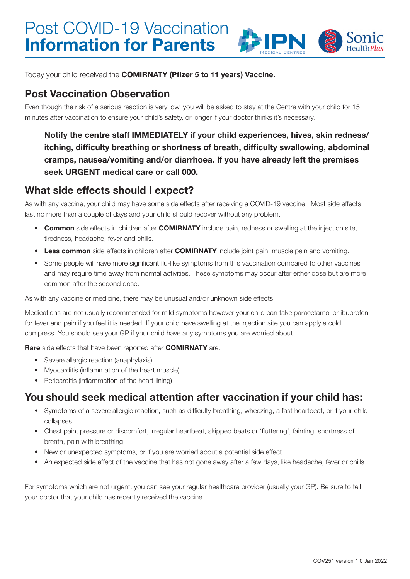

Today your child received the COMIRNATY (Pfizer 5 to 11 years) Vaccine.

#### Post Vaccination Observation

Even though the risk of a serious reaction is very low, you will be asked to stay at the Centre with your child for 15 minutes after vaccination to ensure your child's safety, or longer if your doctor thinks it's necessary.

Notify the centre staff IMMEDIATELY if your child experiences, hives, skin redness/ itching, difficulty breathing or shortness of breath, difficulty swallowing, abdominal cramps, nausea/vomiting and/or diarrhoea. If you have already left the premises seek URGENT medical care or call 000.

#### What side effects should I expect?

As with any vaccine, your child may have some side effects after receiving a COVID-19 vaccine. Most side effects last no more than a couple of days and your child should recover without any problem.

- Common side effects in children after COMIRNATY include pain, redness or swelling at the injection site, tiredness, headache, fever and chills.
- Less common side effects in children after COMIRNATY include joint pain, muscle pain and vomiting.
- Some people will have more significant flu-like symptoms from this vaccination compared to other vaccines and may require time away from normal activities. These symptoms may occur after either dose but are more common after the second dose.

As with any vaccine or medicine, there may be unusual and/or unknown side effects.

Medications are not usually recommended for mild symptoms however your child can take paracetamol or ibuprofen for fever and pain if you feel it is needed. If your child have swelling at the injection site you can apply a cold compress. You should see your GP if your child have any symptoms you are worried about.

Rare side effects that have been reported after **COMIRNATY** are:

- Severe allergic reaction (anaphylaxis)
- Myocarditis (inflammation of the heart muscle)
- Pericarditis (inflammation of the heart lining)

### You should seek medical attention after vaccination if your child has:

- Symptoms of a severe allergic reaction, such as difficulty breathing, wheezing, a fast heartbeat, or if your child collapses
- Chest pain, pressure or discomfort, irregular heartbeat, skipped beats or 'fluttering', fainting, shortness of breath, pain with breathing
- New or unexpected symptoms, or if you are worried about a potential side effect
- An expected side effect of the vaccine that has not gone away after a few days, like headache, fever or chills.

For symptoms which are not urgent, you can see your regular healthcare provider (usually your GP). Be sure to tell your doctor that your child has recently received the vaccine.